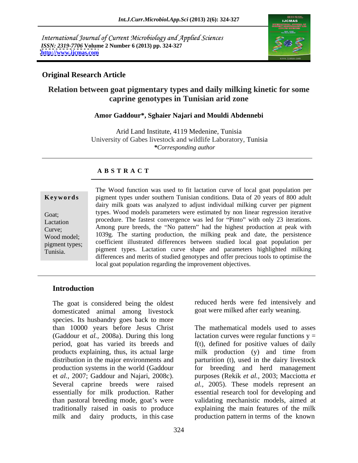International Journal of Current Microbiology and Applied Sciences *ISSN: 2319-7706* **Volume 2 Number 6 (2013) pp. 324-327 <http://www.ijcmas.com>**



## **Original Research Article**

# **Relation between goat pigmentary types and daily milking kinetic for some caprine genotypes in Tunisian arid zone**

#### **Amor Gaddour\*, Sghaier Najari and Mouldi Abdennebi**

Arid Land Institute, 4119 Medenine, Tunisia University of Gabes livestock and wildlife Laboratory, Tunisia *\*Corresponding author* 

# **A B S T R A C T**

| <b>Revworus</b>               |
|-------------------------------|
| Goat;                         |
| Lactation<br>Curve;           |
| Wood model;<br>pigment types; |
| Tunisia.                      |

**Keywords** pigment types under southern Tunisian conditions. Data of 20 years of 800 adult Goat; types. Wood models parameters were estimated by non linear regression iterative Lactation procedure. The fastest convergence was led for "Pinto" with only 23 iterations.  $Curve$ ; Among pure breeds, the "No pattern" had the highest production at peak with Wood model; 1039g. The starting production, the milking peak and date, the persistence pigment types; coefficient illustrated differences between studied local goat population per Tunisia. The Wood function was used to fit lactation curve of local goat population per<br>
pigment types under southern Tunisian conditions. Data of 20 years of 800 adult<br>
dairy milk goats was analyzed to adjust individual m dairy milk goats was analyzed to adjust individual milking curver per pigment pigment types. Lactation curve shape and parameters highlighted milking differences and merits of studied genotypes and offer precious tools to optimise the local goat population regarding the improvement objectives.

### **Introduction**

The goat is considered being the oldest domesticated animal among livestock species. Its husbandry goes back to more than 10000 years before Jesus Christ The mathematical models used to asses (Gaddour et *al.*, 2008a). During this long lactation curves were regular functions  $y =$ period, goat has varied its breeds and f(t), defined for positive values of daily products explaining, thus, its actual large milk production (y) and time from distribution in the major environments and parturition (t), used in the dairy livestock production systems in the world (Gaddour for breeding and herd management et *al.,* 2007; Gaddour and Najari, 2008c). purposes (Rekik *et al.,* 2003; Macciotta *et*  Several caprine breeds were raised *al.,* 2005). These models represent an essentially for milk production. Rather essential research tool for developing and than pastoral breeding mode, goat's were validating mechanistic models, aimed at traditionally raised in oasis to produce explaining the main features of the milk milk and dairy products, in this case production pattern in terms of the known

reduced herds were fed intensively and goat were milked after early weaning.

milk production (y) and time from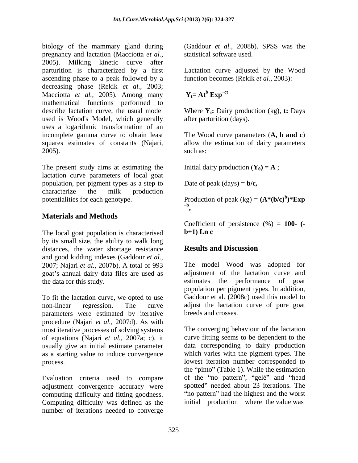biology of the mammary gland during (Gaddour *et al.,* 2008b). SPSS was the pregnancy and lactation (Macciotta *et al.,* 2005). Milking kinetic curve after parturition is characterized by a first Lactation curve adjusted by the Wood ascending phase to a peak followed by a decreasing phase (Rekik *et al.*, 2003;<br>Macciotta *et al.*, 2005). Among many  $Y_t = At^b Exy^{-ct}$ Macciotta *et al.,* 2005). Among many mathematical functions performed to describe lactation curve, the usual model Where  $Y_t$ : Dairy production (kg), t: Days used is Wood's Model, which generally uses a logarithmic transformation of an incomplete gamma curve to obtain least The Wood curve parameters (**A, b and c**) squares estimates of constants (Najari, allow the estimation of dairy parameters 2005). such as:

The present study aims at estimating the lactation curve parameters of local goat population, per pigment types as a step to characterize the milk production potentialities for each genotype. Production of peak  $(kg) = (A^*(b/c)^b)^* Exp$ 

# **Materials and Methods**

The local goat population is characterised  **Ln c** by its small size, the ability to walk long<br>distances the water shortage resistance **Results and Discussion** distances, the water shortage resistance and good kidding indexes (Gaddour *et al.,*  2007; Najari *et al.,* 2007b). A total of 993 goat's annual dairy data files are used as

To fit the lactation curve, we opted to use non-linear regression. The curve adjust the lactation curve of pure goat parameters were estimated by iterative procedure (Najari *et al.,* 2007d). As with most iterative processes of solving systems of equations (Najari *et al.,* 2007a; c), it usually give an initial estimate parameter as a starting value to induce convergence

Evaluation criteria used to compare adjustment convergence accuracy were computing difficulty and fitting goodness. Computing difficulty was defined as the number of iterations needed to converge

statistical software used.

function becomes (Rekik *et al.,* 2003):

#### $Y_t = At^b$   $Exp^{-ct}$  $\exp^{-ct}$

after parturition (days).

such as:  $\blacksquare$ 

Initial dairy production  $(Y_0) = A$ ;

Date of peak  $(\text{days}) = \mathbf{b}/\mathbf{c}$ ,

**)\*Exp b ,** 

Coefficient of persistence (%) = **100- ( b+1) Ln c** 

# **Results and Discussion**

the data for this study. estimates the performance of goat The model Wood was adopted for adjustment of the lactation curve and population per pigment types. In addition, Gaddour et al. (2008c) used this model to breeds and crosses.

process. lowest iteration number corresponded to The converging behaviour of the lactation curve fitting seems to be dependent to the data corresponding to dairy production which varies with the pigment types. The the "pinto" (Table 1). While the estimation of the "no pattern", "gelé" and "head spotted" needed about 23 iterations. The "no pattern" had the highest and the worst initial production where the value was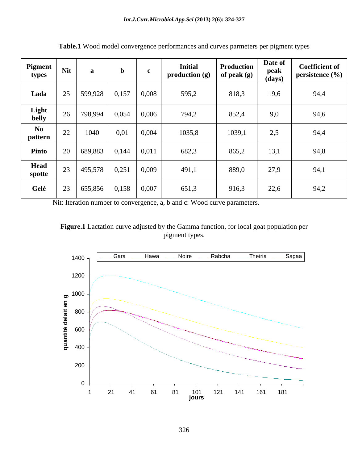| Pigment<br>types                  | <b>Nit</b> | a       | $\mathbf{b}$ |       | <b>Initial</b><br>production (g) | <b>Production</b><br>of peak $(g)$ | Date of<br>peak<br>(days) | <b>Coefficient of</b><br>persistence (%) |
|-----------------------------------|------------|---------|--------------|-------|----------------------------------|------------------------------------|---------------------------|------------------------------------------|
| Lada                              | 25         | 599,928 | 0,157        | 0,008 | 595,2                            | 818,3                              | 19,6                      | 94,4                                     |
| <b>Light</b><br>belly             | 26         | 798,994 | 0,054        | 0,006 | 794,2                            | 852,4                              | 9,0                       | 94,6                                     |
| $\mathbf{N}\mathbf{0}$<br>pattern | 22         | 1040    | 0,01         | 0,004 | 1035,8                           | 1039,1                             | 2,5                       | 94,4                                     |
| Pinto                             | 20         | 689,883 | 0,144        | 0,011 | 682,3                            | 865,2                              | 13,1                      | 94,8                                     |
| Head<br>spotte                    | 23         | 495,578 | 0,251        | 0,009 | 491,1                            | 889,0                              | 27,9                      | 94,1                                     |
| Gelé                              | 23         | 655,856 | 0,158        | 0,007 | 651,3                            | 916,3                              | 22,6                      | 94,2                                     |

**Table.1** Wood model convergence performances and curves parmeters per pigment types

Nit: Iteration number to convergence, a, b and c: Wood curve parameters.

**Figure.1** Lactation curve adjusted by the Gamma function, for local goat population per pigment types.